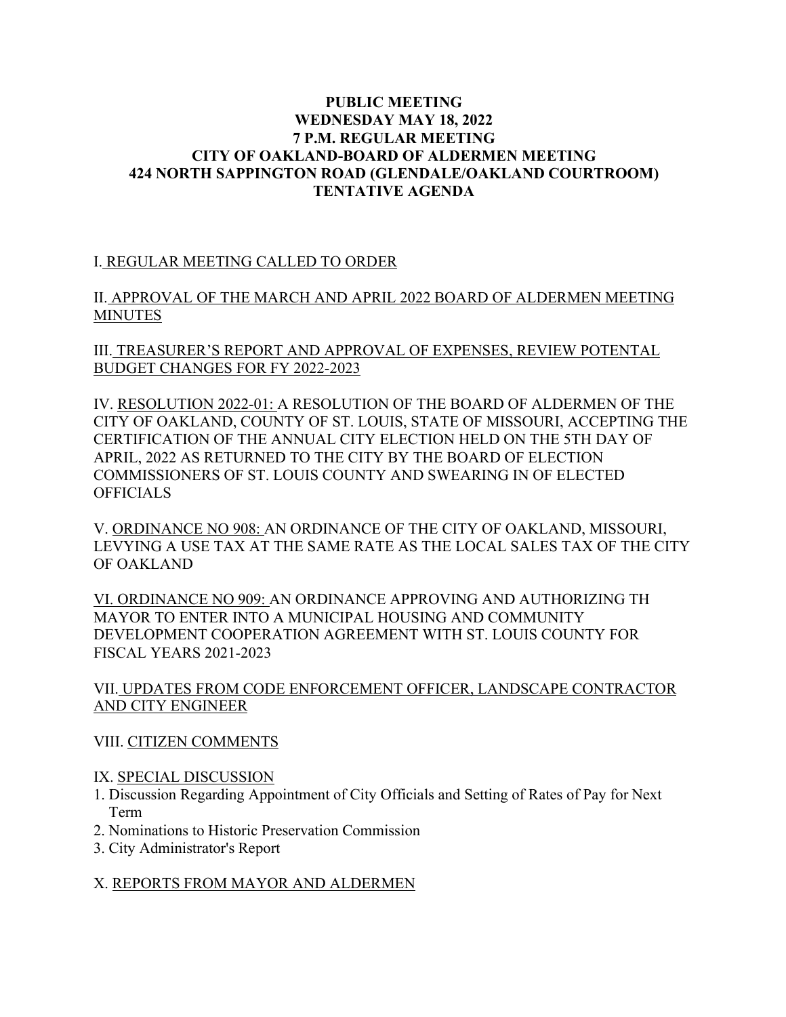### **PUBLIC MEETING WEDNESDAY MAY 18, 2022 7 P.M. REGULAR MEETING CITY OF OAKLAND-BOARD OF ALDERMEN MEETING 424 NORTH SAPPINGTON ROAD (GLENDALE/OAKLAND COURTROOM) TENTATIVE AGENDA**

I. REGULAR MEETING CALLED TO ORDER

II. APPROVAL OF THE MARCH AND APRIL 2022 BOARD OF ALDERMEN MEETING **MINUTES** 

III. TREASURER'S REPORT AND APPROVAL OF EXPENSES, REVIEW POTENTAL BUDGET CHANGES FOR FY 2022-2023

IV. RESOLUTION 2022-01: A RESOLUTION OF THE BOARD OF ALDERMEN OF THE CITY OF OAKLAND, COUNTY OF ST. LOUIS, STATE OF MISSOURI, ACCEPTING THE CERTIFICATION OF THE ANNUAL CITY ELECTION HELD ON THE 5TH DAY OF APRIL, 2022 AS RETURNED TO THE CITY BY THE BOARD OF ELECTION COMMISSIONERS OF ST. LOUIS COUNTY AND SWEARING IN OF ELECTED **OFFICIALS** 

V. ORDINANCE NO 908: AN ORDINANCE OF THE CITY OF OAKLAND, MISSOURI, LEVYING A USE TAX AT THE SAME RATE AS THE LOCAL SALES TAX OF THE CITY OF OAKLAND

VI. ORDINANCE NO 909: AN ORDINANCE APPROVING AND AUTHORIZING TH MAYOR TO ENTER INTO A MUNICIPAL HOUSING AND COMMUNITY DEVELOPMENT COOPERATION AGREEMENT WITH ST. LOUIS COUNTY FOR FISCAL YEARS 2021-2023

VII. UPDATES FROM CODE ENFORCEMENT OFFICER, LANDSCAPE CONTRACTOR AND CITY ENGINEER

# VIII. CITIZEN COMMENTS

### IX. SPECIAL DISCUSSION

- 1. Discussion Regarding Appointment of City Officials and Setting of Rates of Pay for Next Term
- 2. Nominations to Historic Preservation Commission
- 3. City Administrator's Report

# X. REPORTS FROM MAYOR AND ALDERMEN